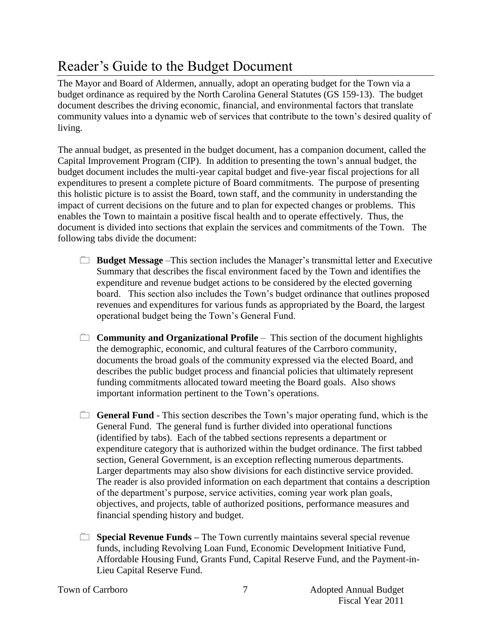## Reader's Guide to the Budget Document

The Mayor and Board of Aldermen, annually, adopt an operating budget for the Town via a budget ordinance as required by the North Carolina General Statutes (GS 159-13). The budget document describes the driving economic, financial, and environmental factors that translate community values into a dynamic web of services that contribute to the town's desired quality of living.

The annual budget, as presented in the budget document, has a companion document, called the Capital Improvement Program (CIP). In addition to presenting the town's annual budget, the budget document includes the multi-year capital budget and five-year fiscal projections for all expenditures to present a complete picture of Board commitments. The purpose of presenting this holistic picture is to assist the Board, town staff, and the community in understanding the impact of current decisions on the future and to plan for expected changes or problems. This enables the Town to maintain a positive fiscal health and to operate effectively. Thus, the document is divided into sections that explain the services and commitments of the Town. The following tabs divide the document:

- **Budget Message** –This section includes the Manager's transmittal letter and Executive Summary that describes the fiscal environment faced by the Town and identifies the expenditure and revenue budget actions to be considered by the elected governing board. This section also includes the Town's budget ordinance that outlines proposed revenues and expenditures for various funds as appropriated by the Board, the largest operational budget being the Town's General Fund.
- **Community and Organizational Profile** This section of the document highlights the demographic, economic, and cultural features of the Carrboro community, documents the broad goals of the community expressed via the elected Board, and describes the public budget process and financial policies that ultimately represent funding commitments allocated toward meeting the Board goals. Also shows important information pertinent to the Town's operations.
- **General Fund** This section describes the Town's major operating fund, which is the General Fund. The general fund is further divided into operational functions (identified by tabs). Each of the tabbed sections represents a department or expenditure category that is authorized within the budget ordinance. The first tabbed section, General Government, is an exception reflecting numerous departments. Larger departments may also show divisions for each distinctive service provided. The reader is also provided information on each department that contains a description of the department's purpose, service activities, coming year work plan goals, objectives, and projects, table of authorized positions, performance measures and financial spending history and budget.
- **Special Revenue Funds** The Town currently maintains several special revenue funds, including Revolving Loan Fund, Economic Development Initiative Fund, Affordable Housing Fund, Grants Fund, Capital Reserve Fund, and the Payment-in-Lieu Capital Reserve Fund.